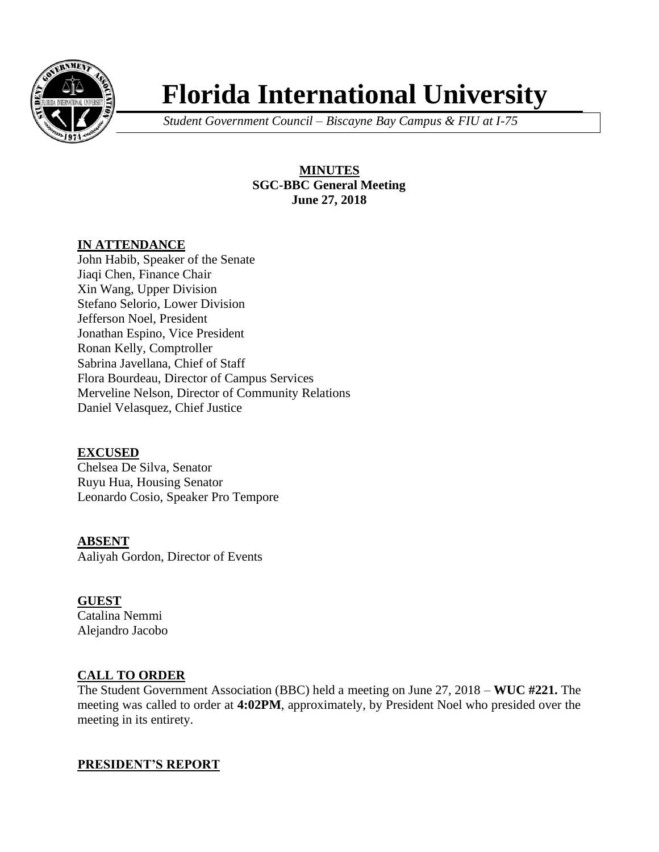

# **Florida International University**

*Student Government Council – Biscayne Bay Campus & FIU at I-75*

**MINUTES SGC-BBC General Meeting June 27, 2018**

## **IN ATTENDANCE**

John Habib, Speaker of the Senate Jiaqi Chen, Finance Chair Xin Wang, Upper Division Stefano Selorio, Lower Division Jefferson Noel, President Jonathan Espino, Vice President Ronan Kelly, Comptroller Sabrina Javellana, Chief of Staff Flora Bourdeau, Director of Campus Services Merveline Nelson, Director of Community Relations Daniel Velasquez, Chief Justice

## **EXCUSED**

Chelsea De Silva, Senator Ruyu Hua, Housing Senator Leonardo Cosio, Speaker Pro Tempore

**ABSENT** Aaliyah Gordon, Director of Events

## **GUEST**

Catalina Nemmi Alejandro Jacobo

## **CALL TO ORDER**

The Student Government Association (BBC) held a meeting on June 27, 2018 – **WUC #221.** The meeting was called to order at **4:02PM**, approximately, by President Noel who presided over the meeting in its entirety.

## **PRESIDENT'S REPORT**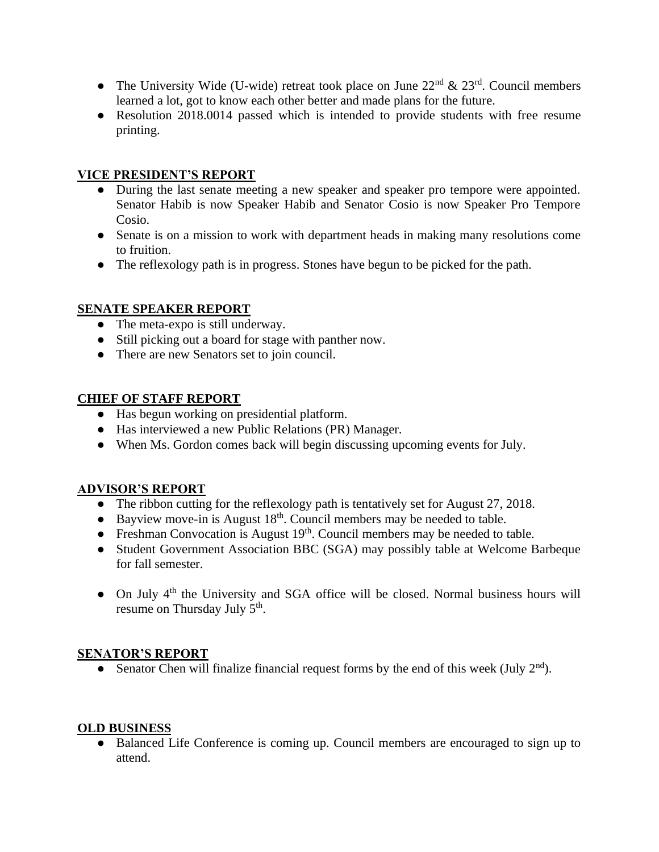- The University Wide (U-wide) retreat took place on June  $22<sup>nd</sup> \& 23<sup>rd</sup>$ . Council members learned a lot, got to know each other better and made plans for the future.
- Resolution 2018.0014 passed which is intended to provide students with free resume printing.

## **VICE PRESIDENT'S REPORT**

- During the last senate meeting a new speaker and speaker pro tempore were appointed. Senator Habib is now Speaker Habib and Senator Cosio is now Speaker Pro Tempore Cosio.
- Senate is on a mission to work with department heads in making many resolutions come to fruition.
- The reflexology path is in progress. Stones have begun to be picked for the path.

## **SENATE SPEAKER REPORT**

- The meta-expo is still underway.
- Still picking out a board for stage with panther now.
- There are new Senators set to join council.

## **CHIEF OF STAFF REPORT**

- Has begun working on presidential platform.
- Has interviewed a new Public Relations (PR) Manager.
- When Ms. Gordon comes back will begin discussing upcoming events for July.

## **ADVISOR'S REPORT**

- The ribbon cutting for the reflexology path is tentatively set for August 27, 2018.
- Bayview move-in is August  $18<sup>th</sup>$ . Council members may be needed to table.
- Freshman Convocation is August  $19<sup>th</sup>$ . Council members may be needed to table.
- Student Government Association BBC (SGA) may possibly table at Welcome Barbeque for fall semester.
- On July  $4<sup>th</sup>$  the University and SGA office will be closed. Normal business hours will resume on Thursday July 5<sup>th</sup>.

## **SENATOR'S REPORT**

• Senator Chen will finalize financial request forms by the end of this week (July  $2<sup>nd</sup>$ ).

## **OLD BUSINESS**

● Balanced Life Conference is coming up. Council members are encouraged to sign up to attend.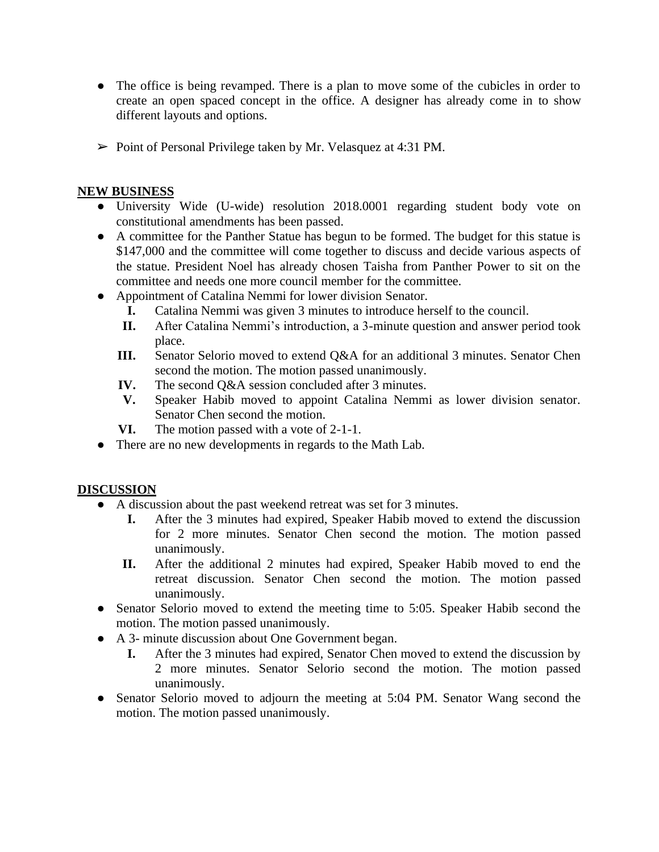- The office is being revamped. There is a plan to move some of the cubicles in order to create an open spaced concept in the office. A designer has already come in to show different layouts and options.
- ➢ Point of Personal Privilege taken by Mr. Velasquez at 4:31 PM.

#### **NEW BUSINESS**

- University Wide (U-wide) resolution 2018.0001 regarding student body vote on constitutional amendments has been passed.
- A committee for the Panther Statue has begun to be formed. The budget for this statue is \$147,000 and the committee will come together to discuss and decide various aspects of the statue. President Noel has already chosen Taisha from Panther Power to sit on the committee and needs one more council member for the committee.
- Appointment of Catalina Nemmi for lower division Senator.
	- **I.** Catalina Nemmi was given 3 minutes to introduce herself to the council.
	- **II.** After Catalina Nemmi's introduction, a 3-minute question and answer period took place.
	- **III.** Senator Selorio moved to extend Q&A for an additional 3 minutes. Senator Chen second the motion. The motion passed unanimously.
	- **IV.** The second Q&A session concluded after 3 minutes.
	- **V.** Speaker Habib moved to appoint Catalina Nemmi as lower division senator. Senator Chen second the motion.
	- **VI.** The motion passed with a vote of 2-1-1.
- There are no new developments in regards to the Math Lab.

## **DISCUSSION**

- A discussion about the past weekend retreat was set for 3 minutes.
	- **I.** After the 3 minutes had expired, Speaker Habib moved to extend the discussion for 2 more minutes. Senator Chen second the motion. The motion passed unanimously.
	- **II.** After the additional 2 minutes had expired, Speaker Habib moved to end the retreat discussion. Senator Chen second the motion. The motion passed unanimously.
- Senator Selorio moved to extend the meeting time to 5:05. Speaker Habib second the motion. The motion passed unanimously.
- A 3- minute discussion about One Government began.
	- **I.** After the 3 minutes had expired, Senator Chen moved to extend the discussion by 2 more minutes. Senator Selorio second the motion. The motion passed unanimously.
- Senator Selorio moved to adjourn the meeting at 5:04 PM. Senator Wang second the motion. The motion passed unanimously.